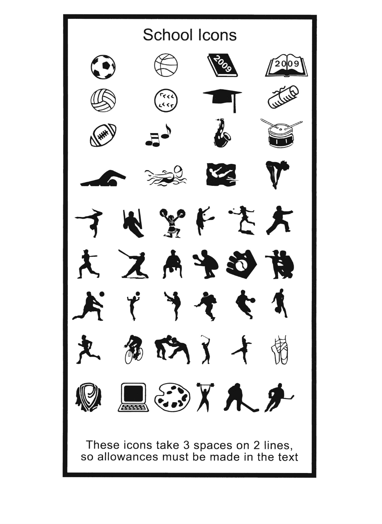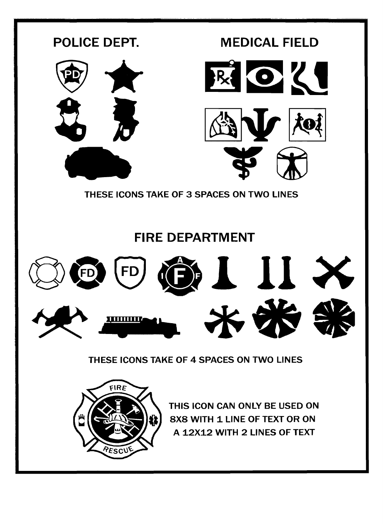



THIS ICON CAN ONLY BE USED ON 8X8 WITH 1 LINE OF TEXT OR ON A 12X12 WITH 2 LINES OF TEXT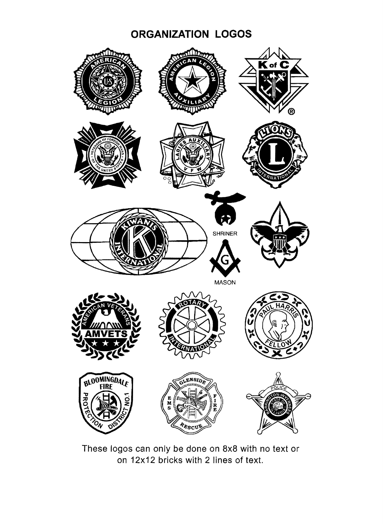## **ORGANIZATION LOGOS**



These logos can only be done on 8x8 with no text or on 12x12 bricks with 2 lines of text.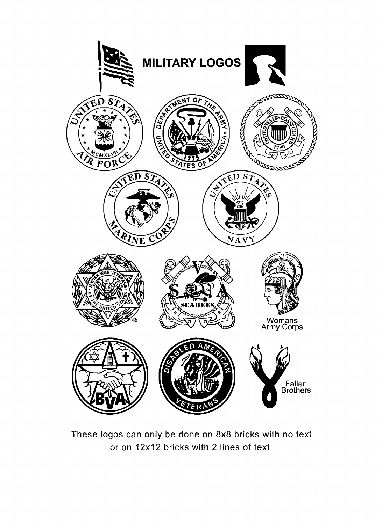

These logos can only be done on BxB bricks with no text or on 12x12 bricks with 2 lines of text.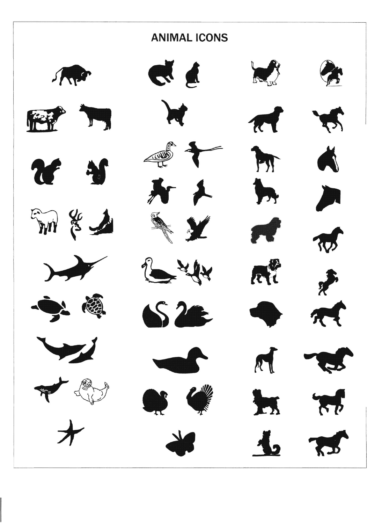